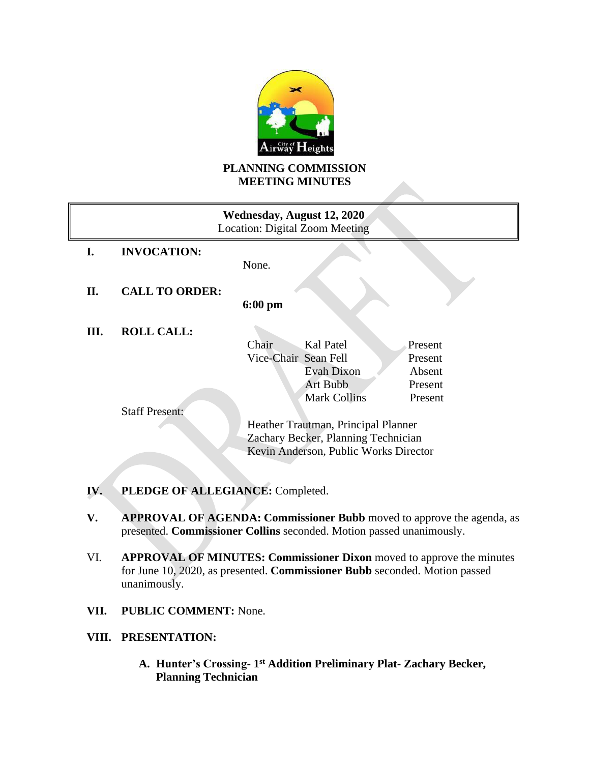

# **PLANNING COMMISSION MEETING MINUTES**

| Wednesday, August 12, 2020<br>Location: Digital Zoom Meeting |                                       |                                     |         |  |
|--------------------------------------------------------------|---------------------------------------|-------------------------------------|---------|--|
| L.                                                           | <b>INVOCATION:</b>                    |                                     |         |  |
|                                                              |                                       | None.                               |         |  |
| II.                                                          | <b>CALL TO ORDER:</b>                 |                                     |         |  |
|                                                              |                                       | $6:00 \text{ pm}$                   |         |  |
| Ш.                                                           | <b>ROLL CALL:</b>                     |                                     |         |  |
|                                                              |                                       | Kal Patel<br>Chair                  | Present |  |
|                                                              |                                       | Vice-Chair Sean Fell                | Present |  |
|                                                              |                                       | Evah Dixon                          | Absent  |  |
|                                                              |                                       | Art Bubb                            | Present |  |
|                                                              |                                       | <b>Mark Collins</b>                 | Present |  |
|                                                              | <b>Staff Present:</b>                 |                                     |         |  |
|                                                              |                                       | Heather Trautman, Principal Planner |         |  |
|                                                              |                                       | Zachary Becker, Planning Technician |         |  |
|                                                              | Kevin Anderson, Public Works Director |                                     |         |  |
|                                                              |                                       |                                     |         |  |

- **IV. PLEDGE OF ALLEGIANCE:** Completed.
- **V. APPROVAL OF AGENDA: Commissioner Bubb** moved to approve the agenda, as presented. **Commissioner Collins** seconded. Motion passed unanimously.
- VI. **APPROVAL OF MINUTES: Commissioner Dixon** moved to approve the minutes for June 10, 2020, as presented. **Commissioner Bubb** seconded. Motion passed unanimously.
- **VII. PUBLIC COMMENT:** None.

# **VIII. PRESENTATION:**

**A. Hunter's Crossing- 1 st Addition Preliminary Plat- Zachary Becker, Planning Technician**